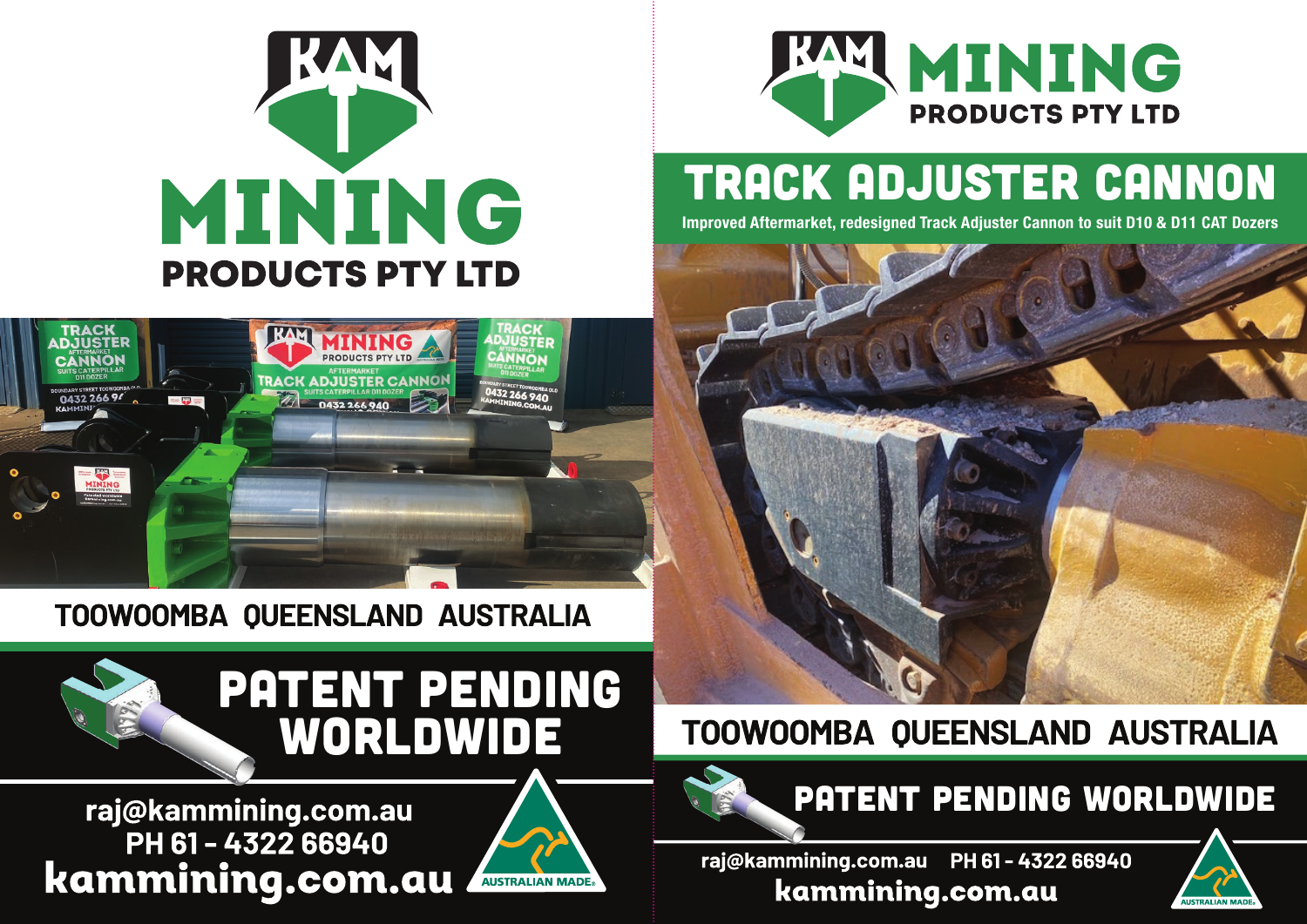

### TRACK Adjuster CANNON **Improved Aftermarket, redesigned Track Adjuster Cannon to suit D10 & D11 CAT Dozers**





### TOOWOOMBA QUEENSLAND AUSTRALIA



# PATENT PENDING Worldwide

raj@kammining.com.au PH 61-4322 66940 kammining.com.au



## TOOWOOMBA QUEENSLAND AUSTRALIA



raj@kammining.com.au PH 61-4322 66940 kammining.com.au

# MINING **PRODUCTS PTY LTD**



## Patent Pending Worldwide